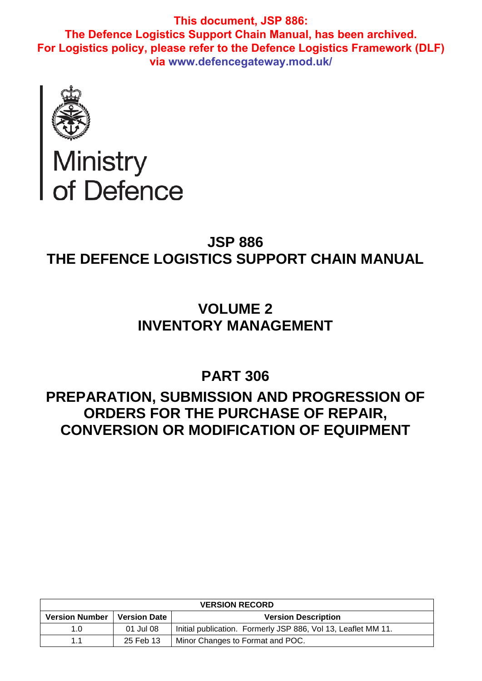

# Ministry<br>of Defence

# **JSP 886 THE DEFENCE LOGISTICS SUPPORT CHAIN MANUAL**

# **VOLUME 2 INVENTORY MANAGEMENT**

**PART 306**

# **PREPARATION, SUBMISSION AND PROGRESSION OF ORDERS FOR THE PURCHASE OF REPAIR, CONVERSION OR MODIFICATION OF EQUIPMENT**

| <b>VERSION RECORD</b> |                     |                                                               |  |
|-----------------------|---------------------|---------------------------------------------------------------|--|
| <b>Version Number</b> | <b>Version Date</b> | <b>Version Description</b>                                    |  |
| 1.0                   | 01 Jul 08           | Initial publication. Formerly JSP 886, Vol 13, Leaflet MM 11. |  |
| 1.1                   | 25 Feb 13           | Minor Changes to Format and POC.                              |  |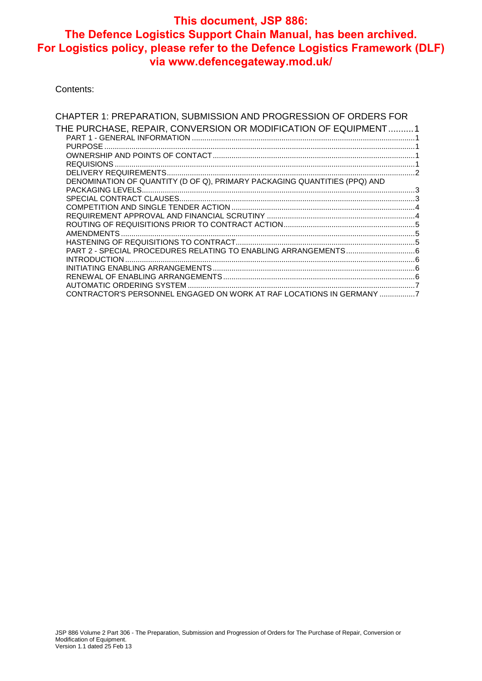Contents:

| CHAPTER 1: PREPARATION, SUBMISSION AND PROGRESSION OF ORDERS FOR          |  |
|---------------------------------------------------------------------------|--|
| THE PURCHASE, REPAIR, CONVERSION OR MODIFICATION OF EQUIPMENT1            |  |
|                                                                           |  |
|                                                                           |  |
|                                                                           |  |
|                                                                           |  |
|                                                                           |  |
| DENOMINATION OF QUANTITY (D OF Q), PRIMARY PACKAGING QUANTITIES (PPQ) AND |  |
|                                                                           |  |
|                                                                           |  |
|                                                                           |  |
|                                                                           |  |
|                                                                           |  |
|                                                                           |  |
|                                                                           |  |
|                                                                           |  |
|                                                                           |  |
|                                                                           |  |
|                                                                           |  |
|                                                                           |  |
| CONTRACTOR'S PERSONNEL ENGAGED ON WORK AT RAF LOCATIONS IN GERMANY 7      |  |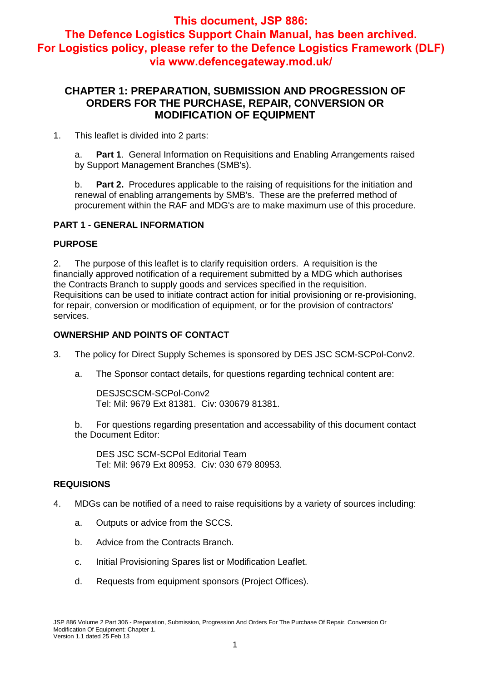#### **CHAPTER 1: PREPARATION, SUBMISSION AND PROGRESSION OF ORDERS FOR THE PURCHASE, REPAIR, CONVERSION OR MODIFICATION OF EQUIPMENT**

1. This leaflet is divided into 2 parts:

a. **Part 1**. General Information on Requisitions and Enabling Arrangements raised by Support Management Branches (SMB's).

b. **Part 2.** Procedures applicable to the raising of requisitions for the initiation and renewal of enabling arrangements by SMB's. These are the preferred method of procurement within the RAF and MDG's are to make maximum use of this procedure.

#### **PART 1 - GENERAL INFORMATION**

#### **PURPOSE**

2. The purpose of this leaflet is to clarify requisition orders. A requisition is the financially approved notification of a requirement submitted by a MDG which authorises the Contracts Branch to supply goods and services specified in the requisition. Requisitions can be used to initiate contract action for initial provisioning or re-provisioning, for repair, conversion or modification of equipment, or for the provision of contractors' services.

#### **OWNERSHIP AND POINTS OF CONTACT**

- 3. The policy for Direct Supply Schemes is sponsored by DES JSC SCM-SCPol-Conv2.
	- a. The Sponsor contact details, for questions regarding technical content are:

DESJSCSCM-SCPol-Conv2 Tel: Mil: 9679 Ext 81381. Civ: 030679 81381.

b. For questions regarding presentation and accessability of this document contact the Document Editor:

DES JSC SCM-SCPol Editorial Team Tel: Mil: 9679 Ext 80953. Civ: 030 679 80953.

#### **REQUISIONS**

- 4. MDGs can be notified of a need to raise requisitions by a variety of sources including:
	- a. Outputs or advice from the SCCS.
	- b. Advice from the Contracts Branch.
	- c. Initial Provisioning Spares list or Modification Leaflet.
	- d. Requests from equipment sponsors (Project Offices).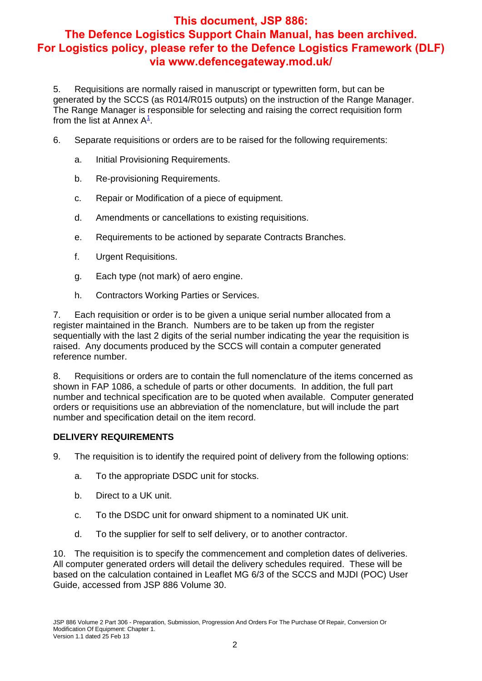5. Requisitions are normally raised in manuscript or typewritten form, but can be generated by the SCCS (as R014/R015 outputs) on the instruction of the Range Manager. The Range Manager is responsible for selecting and raising the correct requisition form from the list at Annex  $A^{\underline{1}}$ .

- 6. Separate requisitions or orders are to be raised for the following requirements:
	- a. Initial Provisioning Requirements.
	- b. Re-provisioning Requirements.
	- c. Repair or Modification of a piece of equipment.
	- d. Amendments or cancellations to existing requisitions.
	- e. Requirements to be actioned by separate Contracts Branches.
	- f. Urgent Requisitions.
	- g. Each type (not mark) of aero engine.
	- h. Contractors Working Parties or Services.

7. Each requisition or order is to be given a unique serial number allocated from a register maintained in the Branch. Numbers are to be taken up from the register sequentially with the last 2 digits of the serial number indicating the year the requisition is raised. Any documents produced by the SCCS will contain a computer generated reference number.

8. Requisitions or orders are to contain the full nomenclature of the items concerned as shown in FAP 1086, a schedule of parts or other documents. In addition, the full part number and technical specification are to be quoted when available. Computer generated orders or requisitions use an abbreviation of the nomenclature, but will include the part number and specification detail on the item record.

#### **DELIVERY REQUIREMENTS**

9. The requisition is to identify the required point of delivery from the following options:

- a. To the appropriate DSDC unit for stocks.
- b. Direct to a UK unit.
- c. To the DSDC unit for onward shipment to a nominated UK unit.
- d. To the supplier for self to self delivery, or to another contractor.

10. The requisition is to specify the commencement and completion dates of deliveries. All computer generated orders will detail the delivery schedules required. These will be based on the calculation contained in Leaflet MG 6/3 of the SCCS and MJDI (POC) User Guide, accessed from JSP 886 Volume 30.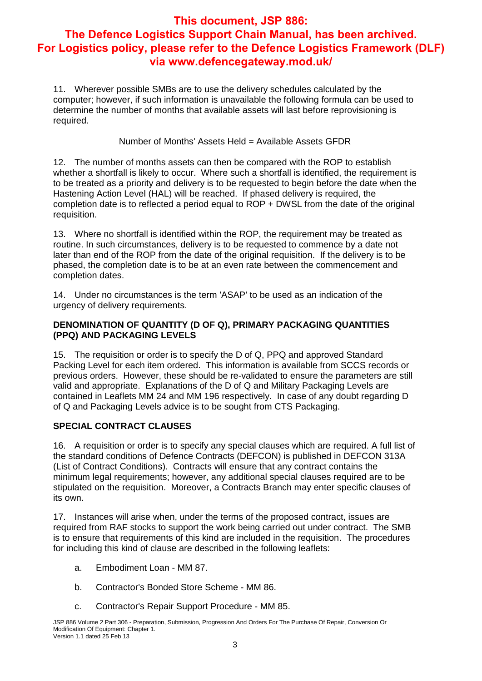11. Wherever possible SMBs are to use the delivery schedules calculated by the computer; however, if such information is unavailable the following formula can be used to determine the number of months that available assets will last before reprovisioning is required.

Number of Months' Assets Held = Available Assets GFDR

12. The number of months assets can then be compared with the ROP to establish whether a shortfall is likely to occur. Where such a shortfall is identified, the requirement is to be treated as a priority and delivery is to be requested to begin before the date when the Hastening Action Level (HAL) will be reached. If phased delivery is required, the completion date is to reflected a period equal to ROP + DWSL from the date of the original requisition.

13. Where no shortfall is identified within the ROP, the requirement may be treated as routine. In such circumstances, delivery is to be requested to commence by a date not later than end of the ROP from the date of the original requisition. If the delivery is to be phased, the completion date is to be at an even rate between the commencement and completion dates.

14. Under no circumstances is the term 'ASAP' to be used as an indication of the urgency of delivery requirements.

#### **DENOMINATION OF QUANTITY (D OF Q), PRIMARY PACKAGING QUANTITIES (PPQ) AND PACKAGING LEVELS**

15. The requisition or order is to specify the D of Q, PPQ and approved Standard Packing Level for each item ordered. This information is available from SCCS records or previous orders. However, these should be re-validated to ensure the parameters are still valid and appropriate. Explanations of the D of Q and Military Packaging Levels are contained in Leaflets MM 24 and MM 196 respectively. In case of any doubt regarding D of Q and Packaging Levels advice is to be sought from CTS Packaging.

#### **SPECIAL CONTRACT CLAUSES**

16. A requisition or order is to specify any special clauses which are required. A full list of the standard conditions of Defence Contracts (DEFCON) is published in DEFCON 313A (List of Contract Conditions). Contracts will ensure that any contract contains the minimum legal requirements; however, any additional special clauses required are to be stipulated on the requisition. Moreover, a Contracts Branch may enter specific clauses of its own.

17. Instances will arise when, under the terms of the proposed contract, issues are required from RAF stocks to support the work being carried out under contract. The SMB is to ensure that requirements of this kind are included in the requisition. The procedures for including this kind of clause are described in the following leaflets:

- a. Embodiment Loan MM 87.
- b. Contractor's Bonded Store Scheme MM 86.
- c. Contractor's Repair Support Procedure MM 85.

JSP 886 Volume 2 Part 306 - Preparation, Submission, Progression And Orders For The Purchase Of Repair, Conversion Or Modification Of Equipment: Chapter 1. Version 1.1 dated 25 Feb 13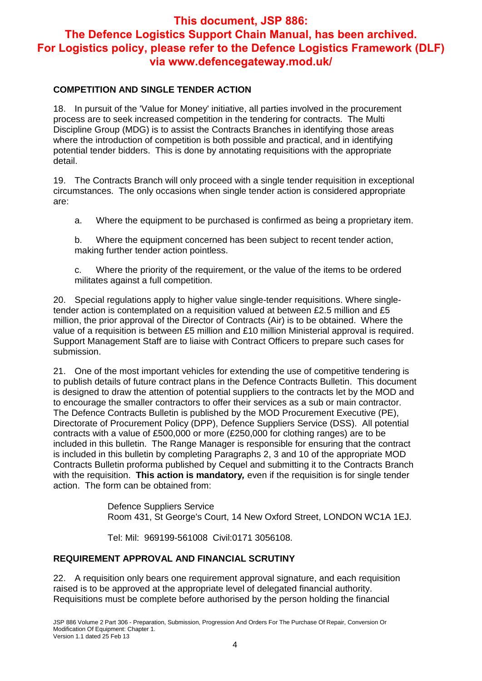#### **COMPETITION AND SINGLE TENDER ACTION**

18. In pursuit of the 'Value for Money' initiative, all parties involved in the procurement process are to seek increased competition in the tendering for contracts. The Multi Discipline Group (MDG) is to assist the Contracts Branches in identifying those areas where the introduction of competition is both possible and practical, and in identifying potential tender bidders. This is done by annotating requisitions with the appropriate detail.

19. The Contracts Branch will only proceed with a single tender requisition in exceptional circumstances. The only occasions when single tender action is considered appropriate are:

a. Where the equipment to be purchased is confirmed as being a proprietary item.

b. Where the equipment concerned has been subject to recent tender action, making further tender action pointless.

c. Where the priority of the requirement, or the value of the items to be ordered militates against a full competition.

20. Special regulations apply to higher value single-tender requisitions. Where singletender action is contemplated on a requisition valued at between £2.5 million and £5 million, the prior approval of the Director of Contracts (Air) is to be obtained. Where the value of a requisition is between £5 million and £10 million Ministerial approval is required. Support Management Staff are to liaise with Contract Officers to prepare such cases for submission.

21. One of the most important vehicles for extending the use of competitive tendering is to publish details of future contract plans in the Defence Contracts Bulletin. This document is designed to draw the attention of potential suppliers to the contracts let by the MOD and to encourage the smaller contractors to offer their services as a sub or main contractor. The Defence Contracts Bulletin is published by the MOD Procurement Executive (PE), Directorate of Procurement Policy (DPP), Defence Suppliers Service (DSS). All potential contracts with a value of £500,000 or more (£250,000 for clothing ranges) are to be included in this bulletin. The Range Manager is responsible for ensuring that the contract is included in this bulletin by completing Paragraphs 2, 3 and 10 of the appropriate MOD Contracts Bulletin proforma published by Cequel and submitting it to the Contracts Branch with the requisition. **This action is mandatory***,* even if the requisition is for single tender action. The form can be obtained from:

> Defence Suppliers Service Room 431, St George's Court, 14 New Oxford Street, LONDON WC1A 1EJ.

Tel: Mil: 969199-561008 Civil:0171 3056108.

#### **REQUIREMENT APPROVAL AND FINANCIAL SCRUTINY**

22. A requisition only bears one requirement approval signature, and each requisition raised is to be approved at the appropriate level of delegated financial authority. Requisitions must be complete before authorised by the person holding the financial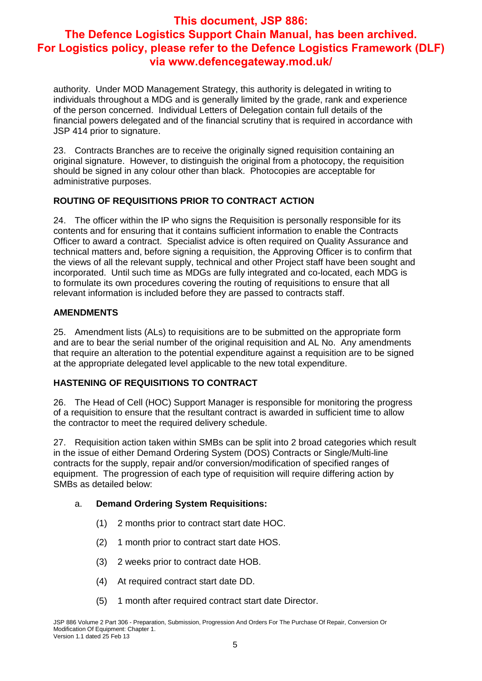authority. Under MOD Management Strategy, this authority is delegated in writing to individuals throughout a MDG and is generally limited by the grade, rank and experience of the person concerned. Individual Letters of Delegation contain full details of the financial powers delegated and of the financial scrutiny that is required in accordance with JSP 414 prior to signature.

23. Contracts Branches are to receive the originally signed requisition containing an original signature. However, to distinguish the original from a photocopy, the requisition should be signed in any colour other than black. Photocopies are acceptable for administrative purposes.

#### **ROUTING OF REQUISITIONS PRIOR TO CONTRACT ACTION**

24. The officer within the IP who signs the Requisition is personally responsible for its contents and for ensuring that it contains sufficient information to enable the Contracts Officer to award a contract. Specialist advice is often required on Quality Assurance and technical matters and, before signing a requisition, the Approving Officer is to confirm that the views of all the relevant supply, technical and other Project staff have been sought and incorporated. Until such time as MDGs are fully integrated and co-located, each MDG is to formulate its own procedures covering the routing of requisitions to ensure that all relevant information is included before they are passed to contracts staff.

#### **AMENDMENTS**

25. Amendment lists (ALs) to requisitions are to be submitted on the appropriate form and are to bear the serial number of the original requisition and AL No. Any amendments that require an alteration to the potential expenditure against a requisition are to be signed at the appropriate delegated level applicable to the new total expenditure.

#### **HASTENING OF REQUISITIONS TO CONTRACT**

26. The Head of Cell (HOC) Support Manager is responsible for monitoring the progress of a requisition to ensure that the resultant contract is awarded in sufficient time to allow the contractor to meet the required delivery schedule.

27. Requisition action taken within SMBs can be split into 2 broad categories which result in the issue of either Demand Ordering System (DOS) Contracts or Single/Multi-line contracts for the supply, repair and/or conversion/modification of specified ranges of equipment. The progression of each type of requisition will require differing action by SMBs as detailed below:

#### a. **Demand Ordering System Requisitions:**

- (1) 2 months prior to contract start date HOC.
- (2) 1 month prior to contract start date HOS.
- (3) 2 weeks prior to contract date HOB.
- (4) At required contract start date DD.
- (5) 1 month after required contract start date Director.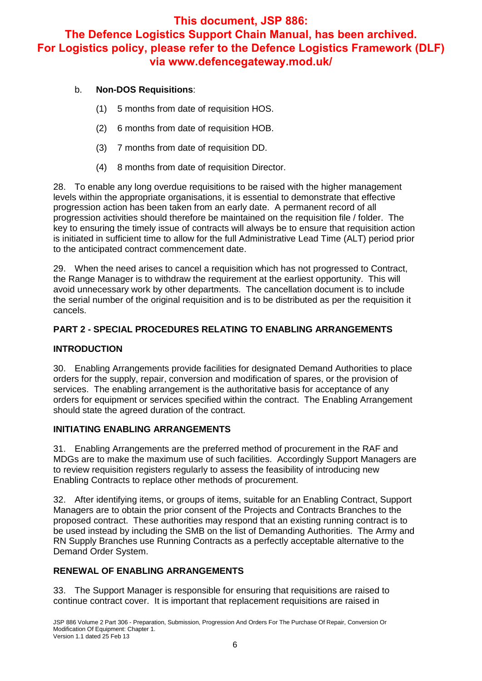#### b. **Non-DOS Requisitions**:

- (1) 5 months from date of requisition HOS.
- (2) 6 months from date of requisition HOB.
- (3) 7 months from date of requisition DD.
- (4) 8 months from date of requisition Director.

28. To enable any long overdue requisitions to be raised with the higher management levels within the appropriate organisations, it is essential to demonstrate that effective progression action has been taken from an early date. A permanent record of all progression activities should therefore be maintained on the requisition file / folder. The key to ensuring the timely issue of contracts will always be to ensure that requisition action is initiated in sufficient time to allow for the full Administrative Lead Time (ALT) period prior to the anticipated contract commencement date.

29. When the need arises to cancel a requisition which has not progressed to Contract, the Range Manager is to withdraw the requirement at the earliest opportunity. This will avoid unnecessary work by other departments. The cancellation document is to include the serial number of the original requisition and is to be distributed as per the requisition it cancels.

#### **PART 2 - SPECIAL PROCEDURES RELATING TO ENABLING ARRANGEMENTS**

#### **INTRODUCTION**

30. Enabling Arrangements provide facilities for designated Demand Authorities to place orders for the supply, repair, conversion and modification of spares, or the provision of services. The enabling arrangement is the authoritative basis for acceptance of any orders for equipment or services specified within the contract. The Enabling Arrangement should state the agreed duration of the contract.

#### **INITIATING ENABLING ARRANGEMENTS**

31. Enabling Arrangements are the preferred method of procurement in the RAF and MDGs are to make the maximum use of such facilities. Accordingly Support Managers are to review requisition registers regularly to assess the feasibility of introducing new Enabling Contracts to replace other methods of procurement.

32. After identifying items, or groups of items, suitable for an Enabling Contract, Support Managers are to obtain the prior consent of the Projects and Contracts Branches to the proposed contract. These authorities may respond that an existing running contract is to be used instead by including the SMB on the list of Demanding Authorities. The Army and RN Supply Branches use Running Contracts as a perfectly acceptable alternative to the Demand Order System.

#### **RENEWAL OF ENABLING ARRANGEMENTS**

33. The Support Manager is responsible for ensuring that requisitions are raised to continue contract cover. It is important that replacement requisitions are raised in